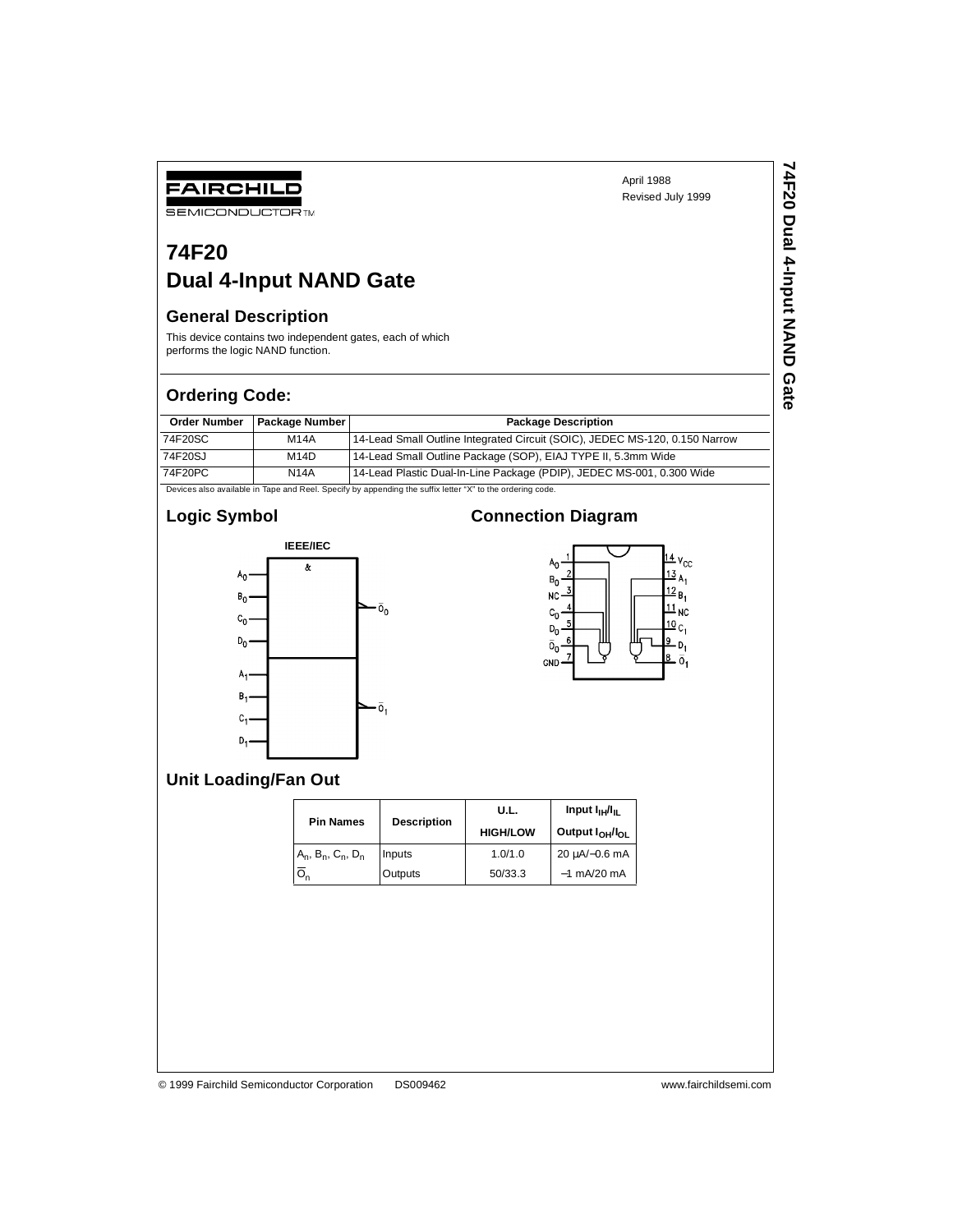# **74F20**

### **Dual 4-Input NAND Gate**

#### **General Description**

FAIRCHILD **SEMICONDUCTOR TM** 

This device contains two independent gates, each of which performs the logic NAND function.

#### **Ordering Code:**

| <b>Order Number</b> | <b>Package Number</b> | <b>Package Description</b>                                                  |
|---------------------|-----------------------|-----------------------------------------------------------------------------|
| 74F20SC             | <b>M14A</b>           | 14-Lead Small Outline Integrated Circuit (SOIC), JEDEC MS-120, 0.150 Narrow |
| 74F20SJ             | M14D                  | 14-Lead Small Outline Package (SOP), EIAJ TYPE II, 5.3mm Wide               |
| 74F20PC             | <b>N14A</b>           | 14-Lead Plastic Dual-In-Line Package (PDIP), JEDEC MS-001, 0.300 Wide       |

Devices also available in Tape and Reel. Specify by appending the suffix letter "X" to the ordering code.

#### **Logic Symbol**



#### **Connection Diagram**



#### **Unit Loading/Fan Out**

|  | <b>Pin Names</b>              | <b>Description</b> | U.L.            | Input $I_{\text{H}}/I_{\text{H}}$       |  |  |
|--|-------------------------------|--------------------|-----------------|-----------------------------------------|--|--|
|  |                               |                    | <b>HIGH/LOW</b> | Output I <sub>OH</sub> /I <sub>OL</sub> |  |  |
|  | $A_n$ , $B_n$ , $C_n$ , $D_n$ | Inputs             | 1.0/1.0         | 20 uA/-0.6 mA                           |  |  |
|  | $O_n$                         | Outputs            | 50/33.3         | $-1$ mA/20 mA                           |  |  |